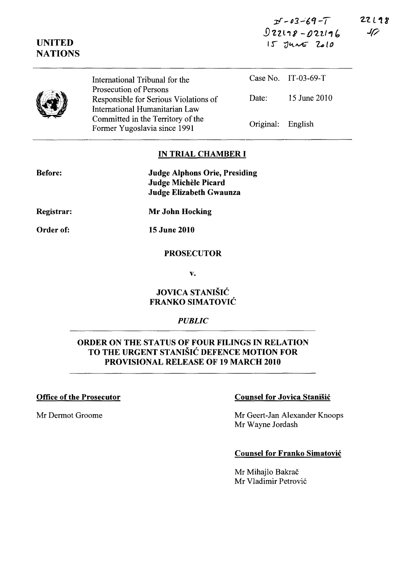| $25 - 03 - 69 - 7$ |                   |  |  |
|--------------------|-------------------|--|--|
|                    | $0zz118 - 02z116$ |  |  |
|                    | $15$ JUNE 2010    |  |  |

 $22L18$  $J$ 

|  | International Tribunal for the                                                                    |                   | Case No. IT-03-69-T |
|--|---------------------------------------------------------------------------------------------------|-------------------|---------------------|
|  | Prosecution of Persons<br>Responsible for Serious Violations of<br>International Humanitarian Law | Date:             | 15 June 2010        |
|  | Committed in the Territory of the<br>Former Yugoslavia since 1991                                 | Original: English |                     |

## IN TRIAL CHAMBER I

| <b>Judge Alphons Orie, Presiding</b> |
|--------------------------------------|
| Judge Michèle Picard                 |
| Judge Elizabeth Gwaunza              |

Registrar:

Before:

UNITED **NATIONS** 

Mr John Hocking

Order of:

15 June 2010

# PROSECUTOR

v.

# JOVICA STANIŠIĆ FRANKO SIMATOVIC

#### *PUBLIC*

# ORDER ON THE STATUS OF FOUR FILINGS IN RELATION TO THE URGENT STANISIC DEFENCE MOTION FOR PROVISIONAL RELEASE OF 19 MARCH 2010

## Office of the Prosecutor Counsel for Jovica Stanisic

Mr Dermot Groome Mr Geert-Jan Alexander Knoops Mr Wayne lordash

## Counsel for Franko Simatovic

Mr Mihajlo Bakrač Mr Vladimir Petrovi6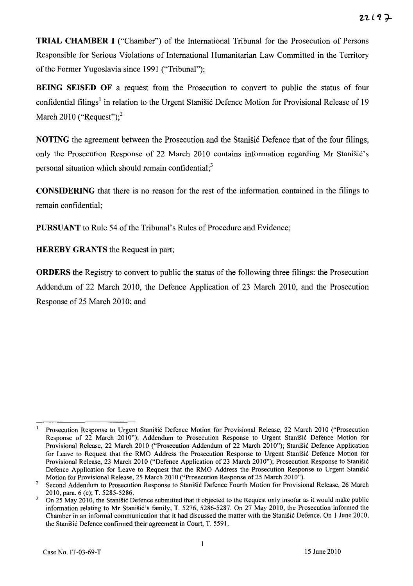**TRIAL CHAMBER I** ("Chamber") of the International Tribunal for the Prosecution of Persons Responsible for Serious Violations of International Humanitarian Law Committed in the Territory of the Former Yugoslavia since 1991 ("Tribunal");

**BEING SEISED OF** a request from the Prosecution to convert to public the status of four confidential filings<sup>1</sup> in relation to the Urgent Stanišić Defence Motion for Provisional Release of 19 March 2010 ("Request"); $<sup>2</sup>$ </sup>

**NOTING** the agreement between the Prosecution and the Stanisic Defence that of the four filings, only the Prosecution Response of 22 March 2010 contains information regarding Mr Stanišić's personal situation which should remain confidential;<sup>3</sup>

**CONSIDERING** that there is no reason for the rest of the information contained in the filings to remain confidential;

**PURSUANT** to Rule 54 of the Tribunal's Rules of Procedure and Evidence;

**HEREBY GRANTS** the Request in part;

**ORDERS** the Registry to convert to public the status of the following three filings: the Prosecution Addendum of 22 March 2010, the Defence Application of 23 March 2010, and the Prosecution Response of 25 March 2010; and

 $\mathbf{I}$ Prosecution Response to Urgent Stanišić Defence Motion for Provisional Release, 22 March 2010 ("Prosecution Response of 22 March 2010"); Addendum to Prosecution Response to Urgent Stanišić Defence Motion for Provisional Release, 22 March 2010 ("Prosecution Addendum of 22 March 2010"); Stanišić Defence Application for Leave to Request that the RMO Address the Prosecution Response to Urgent Stanišić Defence Motion for Provisional Release, 23 March 2010 ("Defence Application of 23 March 2010"); Prosecution Response to Stanišić Defence Application for Leave to Request that the RMO Address the Prosecution Response to Urgent Stanišić Motion for Provisional Release, 25 March 2010 ("Prosecution Response of 25 March 2010").

<sup>&</sup>lt;sup>2</sup> Second Addendum to Prosecution Response to Stanišić Defence Fourth Motion for Provisional Release, 26 March 2010, para. 6 (c); T. 5285-5286.

On 25 May 2010, the Stanisic Defence submitted that it objected to the Request only insofar as it would make public information relating to Mr Stanišić's family, T. 5276, 5286-5287. On 27 May 2010, the Prosecution informed the Chamber in an informal communication that it had discussed the matter with the Stanišić Defence. On 1 June 2010, the Stanišić Defence confirmed their agreement in Court, T. 5591.